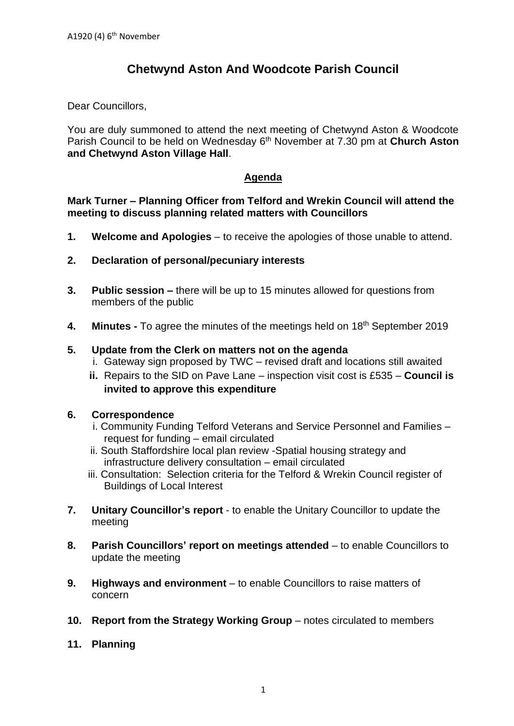# **Chetwynd Aston And Woodcote Parish Council**

Dear Councillors,

You are duly summoned to attend the next meeting of Chetwynd Aston & Woodcote Parish Council to be held on Wednesday 6<sup>th</sup> November at 7.30 pm at Church Aston **and Chetwynd Aston Village Hall**.

# **Agenda**

### **Mark Turner – Planning Officer from Telford and Wrekin Council will attend the meeting to discuss planning related matters with Councillors**

- **1. Welcome and Apologies** to receive the apologies of those unable to attend.
- **2. Declaration of personal/pecuniary interests**
- **3. Public session –** there will be up to 15 minutes allowed for questions from members of the public
- **4. Minutes -** To agree the minutes of the meetings held on 18th September 2019

## **5. Update from the Clerk on matters not on the agenda**

- i. Gateway sign proposed by TWC revised draft and locations still awaited
- **ii.** Repairs to the SID on Pave Lane inspection visit cost is £535 **Council is invited to approve this expenditure**

### **6. Correspondence**

- i. Community Funding Telford Veterans and Service Personnel and Families request for funding – email circulated
- ii. South Staffordshire local plan review -Spatial housing strategy and infrastructure delivery consultation – email circulated
- iii. Consultation: Selection criteria for the Telford & Wrekin Council register of Buildings of Local Interest
- **7. Unitary Councillor's report** to enable the Unitary Councillor to update the meeting
- **8. Parish Councillors' report on meetings attended** to enable Councillors to update the meeting
- **9. Highways and environment** to enable Councillors to raise matters of concern
- **10. Report from the Strategy Working Group** notes circulated to members
- **11. Planning**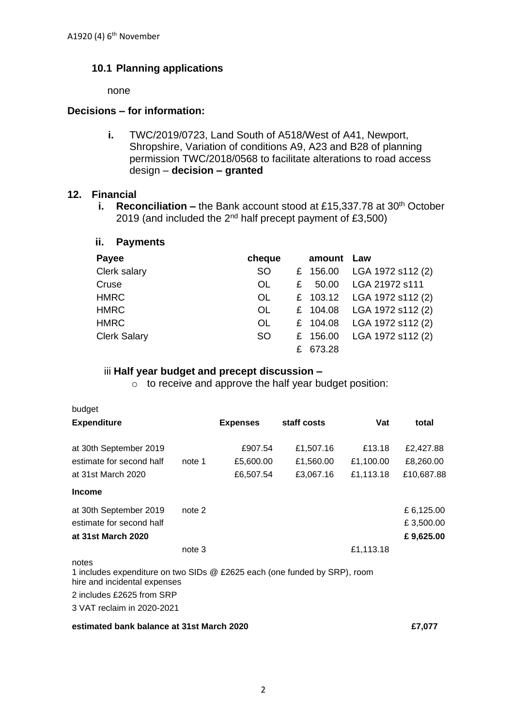# **10.1 Planning applications**

none

#### **Decisions – for information:**

**i.** TWC/2019/0723, Land South of A518/West of A41, Newport, Shropshire, Variation of conditions A9, A23 and B28 of planning permission TWC/2018/0568 to facilitate alterations to road access design – **decision – granted**

#### **12. Financial**

**i.** Reconciliation – the Bank account stood at £15,337.78 at 30<sup>th</sup> October 2019 (and included the 2nd half precept payment of £3,500)

| ii.<br><b>Payments</b> |           |   |          |                   |
|------------------------|-----------|---|----------|-------------------|
| Payee                  | cheque    |   | amount   | Law               |
| Clerk salary           | <b>SO</b> |   | £ 156.00 | LGA 1972 s112 (2) |
| Cruse                  | <b>OL</b> | £ | 50.00    | LGA 21972 s111    |
| <b>HMRC</b>            | <b>OL</b> |   | £ 103.12 | LGA 1972 s112 (2) |
| <b>HMRC</b>            | <b>OL</b> |   | £ 104.08 | LGA 1972 s112 (2) |
| <b>HMRC</b>            | <b>OL</b> |   | £ 104.08 | LGA 1972 s112 (2) |
| <b>Clerk Salary</b>    | <b>SO</b> | £ | 156.00   | LGA 1972 s112 (2) |
|                        |           | £ | 673.28   |                   |

#### iii **Half year budget and precept discussion –**

o to receive and approve the half year budget position:

| budget                                                                                                                                                                        |        |                 |             |           |            |
|-------------------------------------------------------------------------------------------------------------------------------------------------------------------------------|--------|-----------------|-------------|-----------|------------|
| <b>Expenditure</b>                                                                                                                                                            |        | <b>Expenses</b> | staff costs | Vat       | total      |
| at 30th September 2019                                                                                                                                                        |        | £907.54         | £1,507.16   | £13.18    | £2,427.88  |
| estimate for second half                                                                                                                                                      | note 1 | £5,600.00       | £1,560.00   | £1,100.00 | £8,260.00  |
| at 31st March 2020                                                                                                                                                            |        | £6,507.54       | £3,067.16   | £1,113.18 | £10,687.88 |
| <b>Income</b>                                                                                                                                                                 |        |                 |             |           |            |
| at 30th September 2019                                                                                                                                                        | note 2 |                 |             |           | £6,125.00  |
| estimate for second half                                                                                                                                                      |        |                 |             |           | £3,500.00  |
| at 31st March 2020                                                                                                                                                            |        |                 |             |           | £9,625.00  |
|                                                                                                                                                                               | note 3 |                 |             | £1,113.18 |            |
| notes<br>1 includes expenditure on two SIDs @ £2625 each (one funded by SRP), room<br>hire and incidental expenses<br>2 includes £2625 from SRP<br>3 VAT reclaim in 2020-2021 |        |                 |             |           |            |
|                                                                                                                                                                               |        |                 |             |           |            |

#### **estimated bank balance at 31st March 2020 £7,077**